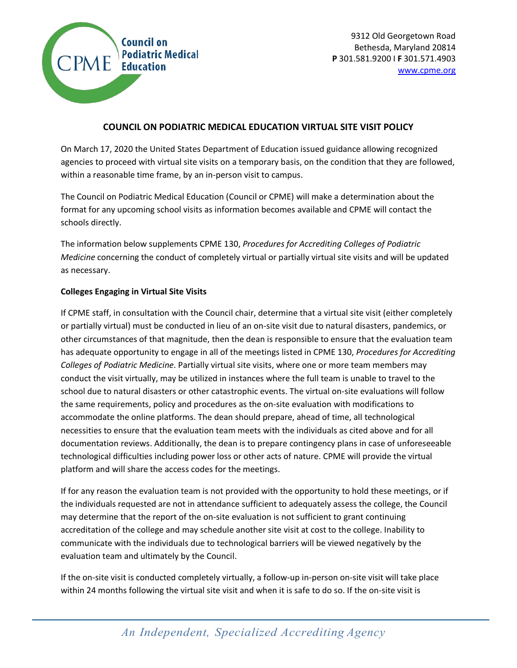

## **COUNCIL ON PODIATRIC MEDICAL EDUCATION VIRTUAL SITE VISIT POLICY**

On March 17, 2020 the United States Department of Education issued guidance allowing recognized agencies to proceed with virtual site visits on a temporary basis, on the condition that they are followed, within a reasonable time frame, by an in-person visit to campus.

The Council on Podiatric Medical Education (Council or CPME) will make a determination about the format for any upcoming school visits as information becomes available and CPME will contact the schools directly.

The information below supplements CPME 130, *Procedures for Accrediting Colleges of Podiatric Medicine* concerning the conduct of completely virtual or partially virtual site visits and will be updated as necessary.

## **Colleges Engaging in Virtual Site Visits**

If CPME staff, in consultation with the Council chair, determine that a virtual site visit (either completely or partially virtual) must be conducted in lieu of an on-site visit due to natural disasters, pandemics, or other circumstances of that magnitude, then the dean is responsible to ensure that the evaluation team has adequate opportunity to engage in all of the meetings listed in CPME 130, *Procedures for Accrediting Colleges of Podiatric Medicine*. Partially virtual site visits, where one or more team members may conduct the visit virtually, may be utilized in instances where the full team is unable to travel to the school due to natural disasters or other catastrophic events. The virtual on-site evaluations will follow the same requirements, policy and procedures as the on-site evaluation with modifications to accommodate the online platforms. The dean should prepare, ahead of time, all technological necessities to ensure that the evaluation team meets with the individuals as cited above and for all documentation reviews. Additionally, the dean is to prepare contingency plans in case of unforeseeable technological difficulties including power loss or other acts of nature. CPME will provide the virtual platform and will share the access codes for the meetings.

If for any reason the evaluation team is not provided with the opportunity to hold these meetings, or if the individuals requested are not in attendance sufficient to adequately assess the college, the Council may determine that the report of the on-site evaluation is not sufficient to grant continuing accreditation of the college and may schedule another site visit at cost to the college. Inability to communicate with the individuals due to technological barriers will be viewed negatively by the evaluation team and ultimately by the Council.

If the on-site visit is conducted completely virtually, a follow-up in-person on-site visit will take place within 24 months following the virtual site visit and when it is safe to do so. If the on-site visit is